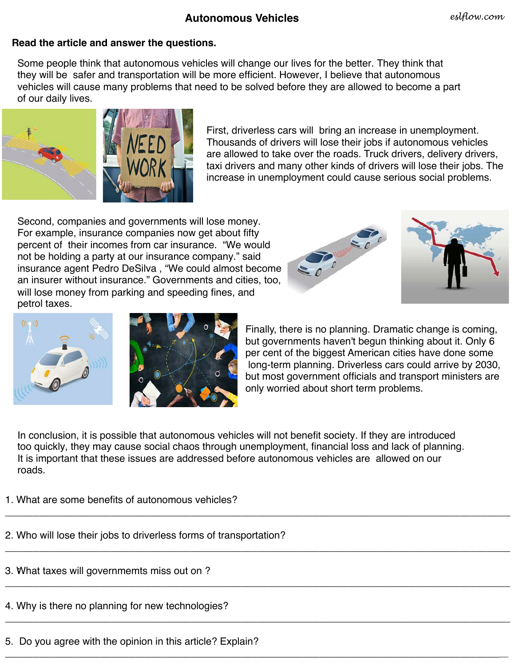#### *eslflow.com*

## **Autonomous Vehicles**

### **Read the article and answer the questions.**

Some people think that autonomous vehicles will change our lives for the better. They think that they will be safer and transportation will be more efficient. However, I believe that autonomous vehicles will cause many problems that need to be solved before they are allowed to become a part of our daily lives.



First, driverless cars will bring an increase in unemployment. Thousands of drivers will lose their jobs if autonomous vehicles are allowed to take over the roads. Truck drivers, delivery drivers, taxi drivers and many other kinds of drivers will lose their jobs. The increase in unemployment could cause serious social problems.

Second, companies and governments will lose money. For example, insurance companies now get about fifty percent of their incomes from car insurance. "We would not be holding a party at our insurance company." said insurance agent Pedro DeSilva , "We could almost become an insurer without insurance." Governments and cities, too, will lose money from parking and speeding fines, and petrol taxes.







Finally, there is no planning. Dramatic change is coming, but governments haven't begun thinking about it. Only 6 per cent of the biggest American cities have done some long-term planning. Driverless cars could arrive by 2030, but most government officials and transport ministers are only worried about short term problems.

In conclusion, it is possible that autonomous vehicles will not benefit society. If they are introduced too quickly, they may cause social chaos through unemployment, financial loss and lack of planning. It is important that these issues are addressed before autonomous vehicles are allowed on our roads.

\_\_\_\_\_\_\_\_\_\_\_\_\_\_\_\_\_\_\_\_\_\_\_\_\_\_\_\_\_\_\_\_\_\_\_\_\_\_\_\_\_\_\_\_\_\_\_\_\_\_\_\_\_\_\_\_\_\_\_\_\_\_\_\_\_\_\_\_\_\_\_\_\_\_\_\_\_\_\_\_\_\_\_\_\_\_\_\_\_\_

\_\_\_\_\_\_\_\_\_\_\_\_\_\_\_\_\_\_\_\_\_\_\_\_\_\_\_\_\_\_\_\_\_\_\_\_\_\_\_\_\_\_\_\_\_\_\_\_\_\_\_\_\_\_\_\_\_\_\_\_\_\_\_\_\_\_\_\_\_\_\_\_\_\_\_\_\_\_\_\_\_\_\_\_\_\_\_\_\_\_

\_\_\_\_\_\_\_\_\_\_\_\_\_\_\_\_\_\_\_\_\_\_\_\_\_\_\_\_\_\_\_\_\_\_\_\_\_\_\_\_\_\_\_\_\_\_\_\_\_\_\_\_\_\_\_\_\_\_\_\_\_\_\_\_\_\_\_\_\_\_\_\_\_\_\_\_\_\_\_\_\_\_\_\_\_\_\_\_\_\_

\_\_\_\_\_\_\_\_\_\_\_\_\_\_\_\_\_\_\_\_\_\_\_\_\_\_\_\_\_\_\_\_\_\_\_\_\_\_\_\_\_\_\_\_\_\_\_\_\_\_\_\_\_\_\_\_\_\_\_\_\_\_\_\_\_\_\_\_\_\_\_\_\_\_\_\_\_\_\_\_\_\_\_\_\_\_\_\_\_\_

\_\_\_\_\_\_\_\_\_\_\_\_\_\_\_\_\_\_\_\_\_\_\_\_\_\_\_\_\_\_\_\_\_\_\_\_\_\_\_\_\_\_\_\_\_\_\_\_\_\_\_\_\_\_\_\_\_\_\_\_\_\_\_\_\_\_\_\_\_\_\_\_\_\_\_\_\_\_\_\_\_\_\_\_\_\_\_\_\_\_

### 1. What are some benefits of autonomous vehicles?

# 2. Who will lose their jobs to driverless forms of transportation?

- **:** 3. What taxes will governmemts miss out on ?
- 4. Why is there no planning for new technologies?
- 5. Do you agree with the opinion in this article? Explain?